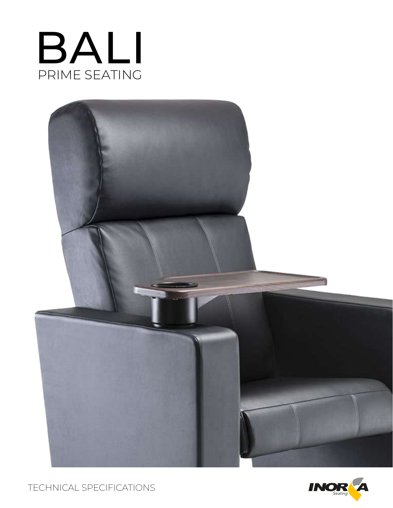



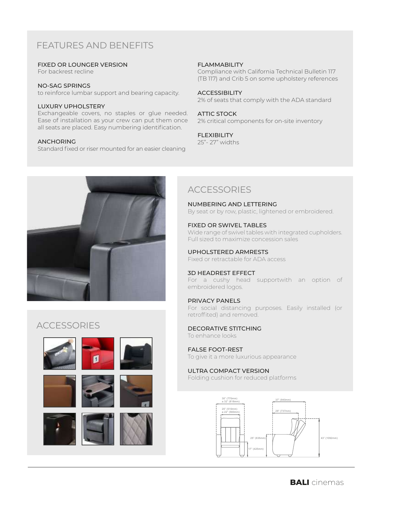# FEATURES AND BENEFITS

#### FIXED OR LOUNGER VERSION

For backrest recline

#### NO-SAG SPRINGS

to reinforce lumbar support and bearing capacity.

#### LUXURY UPHOLSTERY

Exchangeable covers, no staples or glue needed. Ease of installation as your crew can put them once all seats are placed. Easy numbering identification.

#### ANCHORING

Standard fixed or riser mounted for an easier cleaning

#### FLAMMABILITY

Compliance with California Technical Bulletin 117 (TB 117) and Crib 5 on some upholstery references

#### ACCESSIBILITY

2% of seats that comply with the ADA standard

#### ATTIC STOCK

2% critical components for on-site inventory

#### FLEXIBILITY

25"- 27" widths



## **ACCESSORIES**











## NUMBERING AND LETTERING

By seat or by row, plastic, lightened or embroidered.

#### FIXED OR SWIVEL TABLES

Wide range of swivel tables with integrated cupholders. Full sized to maximize concession sales

### UPHOLSTERED ARMRESTS

Fixed or retractable for ADA access

#### 3D HEADREST EFFECT

For a cushy head supportwith an option of embroidered logos.

#### PRIVACY PANELS

For social distancing purposes. Easily installed (or retroffited) and removed.

#### DECORATIVE STITCHING To enhance looks

### FALSE FOOT-REST

To give it a more luxurious appearance

## ULTRA COMPACT VERSION

Folding cushion for reduced platforms

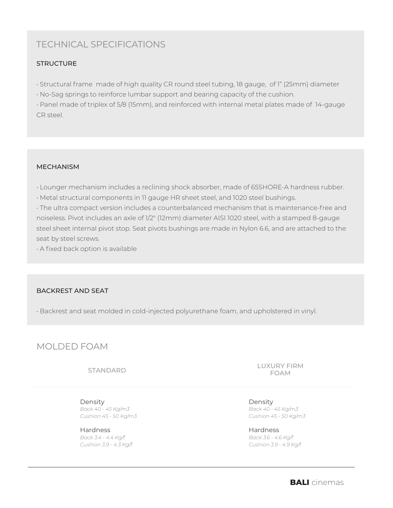# TECHNICAL SPECIFICATIONS

## **STRUCTURE**

• Structural frame made of high quality CR round steel tubing, 18 gauge, of 1" (25mm) diameter

• No-Sag springs to reinforce lumbar support and bearing capacity of the cushion.

• Panel made of triplex of 5/8 (15mm), and reinforced with internal metal plates made of 14-gauge CR steel.

## MECHANISM

• Lounger mechanism includes a reclining shock absorber, made of 65SHORE-A hardness rubber.

• Metal structural components in 11 gauge HR sheet steel, and 1020 steel bushings.

• The ultra compact version includes a counterbalanced mechanism that is maintenance-free and noiseless. Pivot includes an axle of 1/2" (12mm) diameter AISI 1020 steel, with a stamped 8-gauge steel sheet internal pivot stop. Seat pivots bushings are made in Nylon 6.6, and are attached to the seat by steel screws.

• A fixed back option is available

## BACKREST AND SEAT

• Backrest and seat molded in cold-injected polyurethane foam, and upholstered in vinyl.

## MOLDED FOAM

STANDARD

Density *Back 40 - 45 Kg/m3 Cushion 45 - 50 Kg/m3*

Hardness *Back 3.4 - 4.4 Kg/f Cushion 3.9 - 4.3 Kg/f* LUXURY FIRM FOAM

Density *Back 40 - 45 Kg/m3 Cushion 45 - 50 Kg/m3*

Hardness *Back 3.6 - 4.6 Kg/f Cushion 3.9 - 4.9 Kg/f*